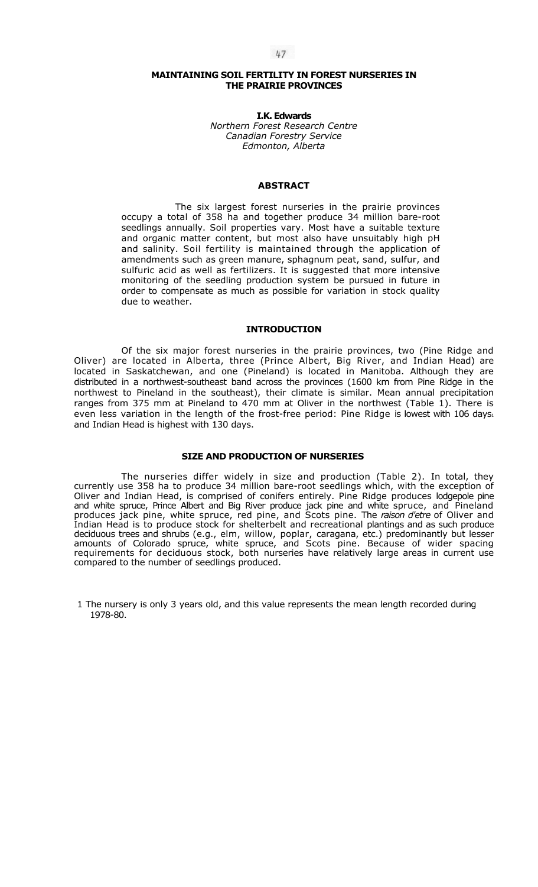# **MAINTAINING SOIL FERTILITY IN FOREST NURSERIES IN THE PRAIRIE PROVINCES**

**I.K. Edwards**  *Northern Forest Research Centre Canadian Forestry Service Edmonton, Alberta* 

#### **ABSTRACT**

The six largest forest nurseries in the prairie provinces occupy a total of 358 ha and together produce 34 million bare-root seedlings annually. Soil properties vary. Most have a suitable texture and organic matter content, but most also have unsuitably high pH and salinity. Soil fertility is maintained through the application of amendments such as green manure, sphagnum peat, sand, sulfur, and sulfuric acid as well as fertilizers. It is suggested that more intensive monitoring of the seedling production system be pursued in future in order to compensate as much as possible for variation in stock quality due to weather.

## **INTRODUCTION**

Of the six major forest nurseries in the prairie provinces, two (Pine Ridge and Oliver) are located in Alberta, three (Prince Albert, Big River, and Indian Head) are located in Saskatchewan, and one (Pineland) is located in Manitoba. Although they are distributed in a northwest-southeast band across the provinces (1600 km from Pine Ridge in the northwest to Pineland in the southeast), their climate is similar. Mean annual precipitation ranges from 375 mm at Pineland to 470 mm at Oliver in the northwest (Table 1). There is even less variation in the length of the frost-free period: Pine Ridge is lowest with  $106 \text{ days}_1$ and Indian Head is highest with 130 days.

# **SIZE AND PRODUCTION OF NURSERIES**

The nurseries differ widely in size and production (Table 2). In total, they currently use 358 ha to produce 34 million bare-root seedlings which, with the exception of Oliver and Indian Head, is comprised of conifers entirely. Pine Ridge produces lodgepole pine and white spruce, Prince Albert and Big River produce jack pine and white spruce, and Pineland produces jack pine, white spruce, red pine, and Scots pine. The *raison d'etre* of Oliver and Indian Head is to produce stock for shelterbelt and recreational plantings and as such produce deciduous trees and shrubs (e.g., elm, willow, poplar, caragana, etc.) predominantly but lesser amounts of Colorado spruce, white spruce, and Scots pine. Because of wider spacing requirements for deciduous stock, both nurseries have relatively large areas in current use compared to the number of seedlings produced.

1 The nursery is only 3 years old, and this value represents the mean length recorded during 1978-80.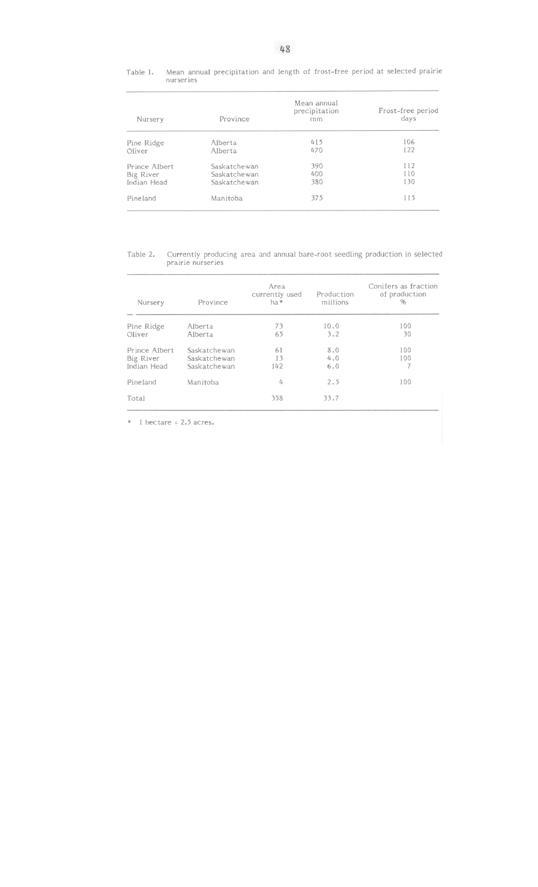Mean annual precipitation and length of frost-free period at selected prairie<br>nurseries Table 1.

| Nursery       | Province     | Mean annual<br>precipitation<br>mm | Frost-free period<br>days |  |  |
|---------------|--------------|------------------------------------|---------------------------|--|--|
| Pine Ridge    | Alberta      | 415                                | 106                       |  |  |
| Oliver        | Alberta      | 470                                | 122                       |  |  |
| Prince Albert | Saskatchewan | 390                                | 112                       |  |  |
| Big River     | Saskatchewan | 400                                | 110                       |  |  |
| Indian Head   | Saskatchewan | 380                                | 130                       |  |  |
| Pineland      | Manitoba     | 375                                | 115                       |  |  |

Table 2. Currently producing area and annual bare-root seedling production in selected prairie nurseries

| Nursery       | Province     | Area<br>currently used<br>ha* | Production<br>millions | Conifers as fraction<br>of production<br>% |
|---------------|--------------|-------------------------------|------------------------|--------------------------------------------|
| Pine Ridge    | Alberta      | 73                            | 10.0                   | 100                                        |
| Oliver        | Alberta      | 65                            | 3.2                    | 30                                         |
| Prince Albert | Saskatchewan | 61                            | 8.0                    | 100                                        |
| Big River     | Saskatchewan | 13                            | 4.0                    | 100                                        |
| Indian Head   | Saskatchewan | 142                           | 6.0                    |                                            |
| Pineland      | Manitoba     | 4                             | 2.5                    | 100                                        |
| Total         |              | 358                           | 33.7                   |                                            |

 $*$  1 hectare = 2.5 acres.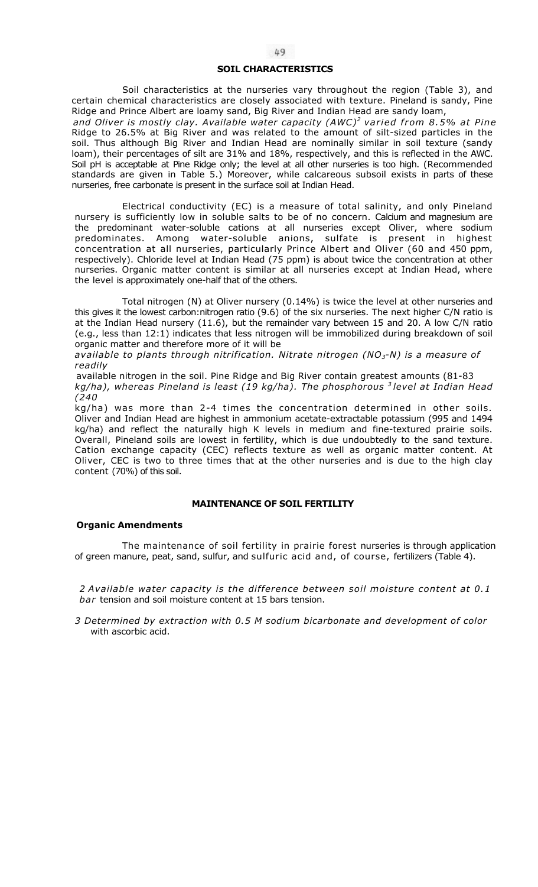#### **SOIL CHARACTERISTICS**

Soil characteristics at the nurseries vary throughout the region (Table 3), and certain chemical characteristics are closely associated with texture. Pineland is sandy, Pine Ridge and Prince Albert are loamy sand, Big River and Indian Head are sandy loam,

*and Oliver is mostly clay. Available water capacity (AWC)<sup>2</sup> varied from 8.5% at Pine*  Ridge to 26.5% at Big River and was related to the amount of silt-sized particles in the soil. Thus although Big River and Indian Head are nominally similar in soil texture (sandy loam), their percentages of silt are 31% and 18%, respectively, and this is reflected in the AWC. Soil pH is acceptable at Pine Ridge only; the level at all other nurseries is too high. (Recommended standards are given in Table 5.) Moreover, while calcareous subsoil exists in parts of these nurseries, free carbonate is present in the surface soil at Indian Head.

Electrical conductivity (EC) is a measure of total salinity, and only Pineland nursery is sufficiently low in soluble salts to be of no concern. Calcium and magnesium are the predominant water-soluble cations at all nurseries except Oliver, where sodium predominates. Among water-soluble anions, sulfate is present in highest concentration at all nurseries, particularly Prince Albert and Oliver (60 and 450 ppm, respectively). Chloride level at Indian Head (75 ppm) is about twice the concentration at other nurseries. Organic matter content is similar at all nurseries except at Indian Head, where the level is approximately one-half that of the others.

Total nitrogen (N) at Oliver nursery (0.14%) is twice the level at other nurseries and this gives it the lowest carbon:nitrogen ratio (9.6) of the six nurseries. The next higher C/N ratio is at the Indian Head nursery (11.6), but the remainder vary between 15 and 20. A low C/N ratio (e.g., less than 12:1) indicates that less nitrogen will be immobilized during breakdown of soil organic matter and therefore more of it will be

*available to plants through nitrification. Nitrate nitrogen (NO3-N) is a measure of readily* 

available nitrogen in the soil. Pine Ridge and Big River contain greatest amounts (81-83 *kg/ha), whereas Pineland is least (19 kg/ha). The phosphorous 3 level at Indian Head (240* 

kg/ha) was more than 2-4 times the concentration determined in other soils. Oliver and Indian Head are highest in ammonium acetate-extractable potassium (995 and 1494 kg/ha) and reflect the naturally high K levels in medium and fine-textured prairie soils. Overall, Pineland soils are lowest in fertility, which is due undoubtedly to the sand texture. Cation exchange capacity (CEC) reflects texture as well as organic matter content. At Oliver, CEC is two to three times that at the other nurseries and is due to the high clay content (70%) of this soil.

# **MAINTENANCE OF SOIL FERTILITY**

# **Organic Amendments**

The maintenance of soil fertility in prairie forest nurseries is through application of green manure, peat, sand, sulfur, and sulfuric acid and, of course, fertilizers (Table 4).

*2 Available water capacity is the difference between soil moisture content at 0.1 bar* tension and soil moisture content at 15 bars tension.

*3 Determined by extraction with 0.5 M sodium bicarbonate and development of color*  with ascorbic acid.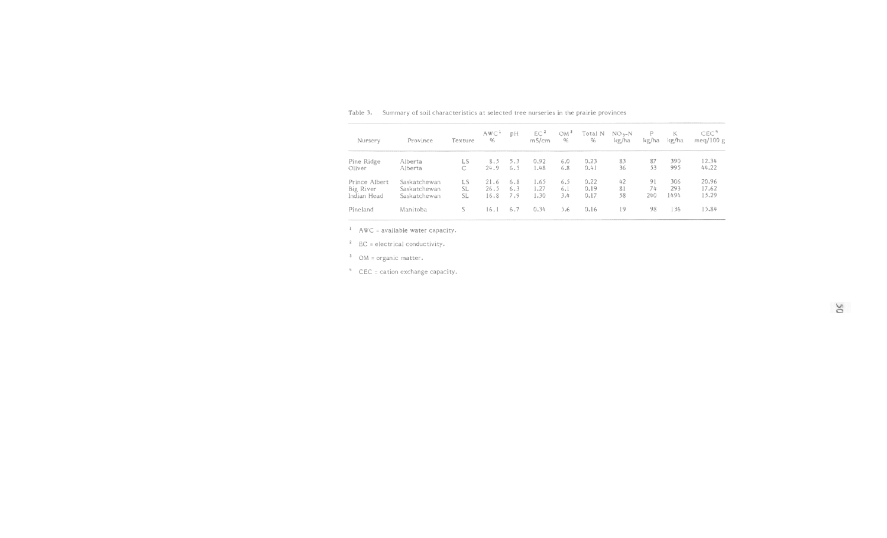| Nursery       | Province     | Texture | AWC <sup>1</sup><br>% | рH  | EC <sup>2</sup><br>mS/cm | OM <sup>3</sup><br>96 | Total N<br>96 | $NO3-N$<br>kg/ha | P<br>kg/ha | К<br>kg/ha | CEC <sup>4</sup><br>meg/100 $g$ |
|---------------|--------------|---------|-----------------------|-----|--------------------------|-----------------------|---------------|------------------|------------|------------|---------------------------------|
| Pine Ridge    | Alberta      | LS      | 8.5                   | 5.3 | 0.92                     | 6.0                   | 0.23          | 83               | 87         | 390        | 12.34                           |
| Oliver        | Alberta      |         | 24.9                  | 6.5 | 1.48                     | 6.8                   | 0.41          | 36               | 53         | 995        | 44.22                           |
| Prince Albert | Saskatchewan | LS.     | 21.6                  | 6.8 | 1.65                     | 6.5                   | 0.22          | 42               | 91         | 306        | 20.96                           |
| Big River     | Saskatchewan | SL.     | 26.5                  | 6.3 | 1.27                     | 6.1                   | 0.19          | 81               | 74         | 293        | 17.62                           |
| Indian Head   | Saskatchewan | SL      | 16.8                  | 7.9 | 1.30                     | 3.4                   | 0.17          | 58               | 240        | 1494       | 15.29                           |
| Pineland      | Manitoba     | S       | 16.1                  | 6.7 | 0.34                     | 5.6                   | 0.16          | 19               | 98         | 136        | 15.84                           |

Table 3. Summary of soil characteristics at selected tree nurseries in the prairie provinces

AWC = available water capacity.

EC = electrical conductivity.

OM = organic matter.

<sup>4</sup> CEC = cation exchange capacity.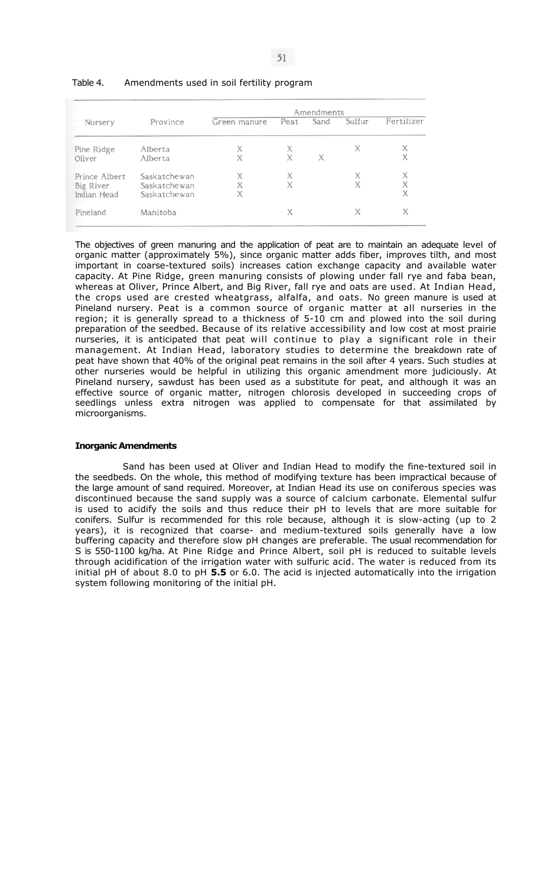|               |              | Amendments   |      |      |        |            |  |
|---------------|--------------|--------------|------|------|--------|------------|--|
| Nursery       | Province     | Green manure | Peat | Sand | Sulfur | Fertilizer |  |
| Pine Ridge    | Alberta      | Χ            | Х    |      | X      | X          |  |
| Oliver        | Alberta      | X            | X    | X    |        | X          |  |
| Prince Albert | Saskatchewan | X            | Х    |      | Х      | X          |  |
| Big River     | Saskatchewan | X            | X    |      | X      | X          |  |
| Indian Head   | Saskatchewan | X            |      |      |        | X          |  |
| Pineland      | Manitoba     |              | X    |      | X      | X          |  |

#### Table 4. Amendments used in soil fertility program

The objectives of green manuring and the application of peat are to maintain an adequate level of organic matter (approximately 5%), since organic matter adds fiber, improves tilth, and most important in coarse-textured soils) increases cation exchange capacity and available water capacity. At Pine Ridge, green manuring consists of plowing under fall rye and faba bean, whereas at Oliver, Prince Albert, and Big River, fall rye and oats are used. At Indian Head, the crops used are crested wheatgrass, alfalfa, and oats. No green manure is used at Pineland nursery. Peat is a common source of organic matter at all nurseries in the region; it is generally spread to a thickness of  $5\n-10$  cm and plowed into the soil during preparation of the seedbed. Because of its relative accessibility and low cost at most prairie nurseries, it is anticipated that peat will continue to play a significant role in their management. At Indian Head, laboratory studies to determine the breakdown rate of peat have shown that 40% of the original peat remains in the soil after 4 years. Such studies at other nurseries would be helpful in utilizing this organic amendment more judiciously. At Pineland nursery, sawdust has been used as a substitute for peat, and although it was an effective source of organic matter, nitrogen chlorosis developed in succeeding crops of seedlings unless extra nitrogen was applied to compensate for that assimilated by microorganisms.

# **Inorganic Amendments**

Sand has been used at Oliver and Indian Head to modify the fine-textured soil in the seedbeds. On the whole, this method of modifying texture has been impractical because of the large amount of sand required. Moreover, at Indian Head its use on coniferous species was discontinued because the sand supply was a source of calcium carbonate. Elemental sulfur is used to acidify the soils and thus reduce their pH to levels that are more suitable for conifers. Sulfur is recommended for this role because, although it is slow-acting (up to 2 years), it is recognized that coarse- and medium-textured soils generally have a low buffering capacity and therefore slow pH changes are preferable. The usual recommendation for S is 550-1100 kg/ha. At Pine Ridge and Prince Albert, soil pH is reduced to suitable levels through acidification of the irrigation water with sulfuric acid. The water is reduced from its initial pH of about 8.0 to pH **5.5** or 6.0. The acid is injected automatically into the irrigation system following monitoring of the initial pH.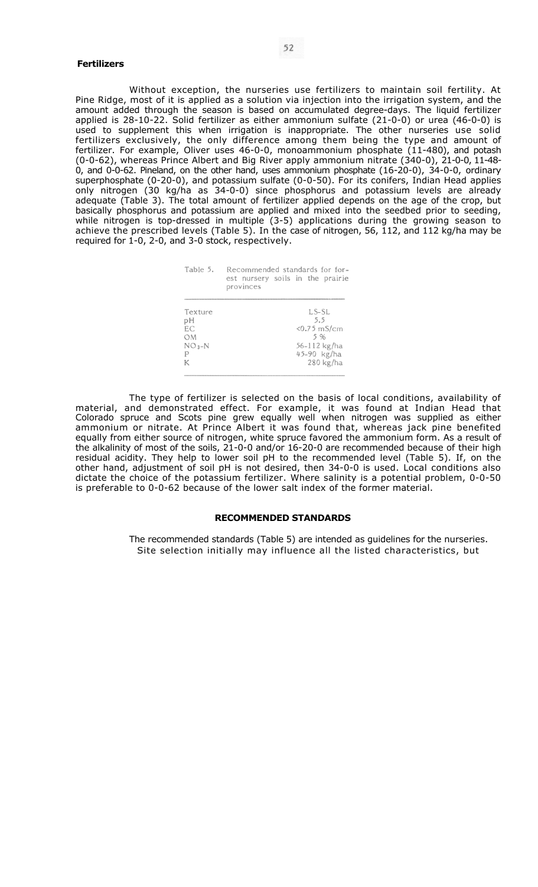#### **Fertilizers**

Without exception, the nurseries use fertilizers to maintain soil fertility. At Pine Ridge, most of it is applied as a solution via injection into the irrigation system, and the amount added through the season is based on accumulated degree-days. The liquid fertilizer applied is 28-10-22. Solid fertilizer as either ammonium sulfate (21-0-0) or urea (46-0-0) is used to supplement this when irrigation is inappropriate. The other nurseries use solid fertilizers exclusively, the only difference among them being the type and amount of fertilizer. For example, Oliver uses 46-0-0, monoammonium phosphate (11-480), and potash (0-0-62), whereas Prince Albert and Big River apply ammonium nitrate (340-0), 21-0-0, 11-48- 0, and 0-0-62. Pineland, on the other hand, uses ammonium phosphate (16-20-0), 34-0-0, ordinary superphosphate (0-20-0), and potassium sulfate (0-0-50). For its conifers, Indian Head applies only nitrogen (30 kg/ha as 34-0-0) since phosphorus and potassium levels are already adequate (Table 3). The total amount of fertilizer applied depends on the age of the crop, but basically phosphorus and potassium are applied and mixed into the seedbed prior to seeding, while nitrogen is top-dressed in multiple (3-5) applications during the growing season to achieve the prescribed levels (Table 5). In the case of nitrogen, 56, 112, and 112 kg/ha may be required for 1-0, 2-0, and 3-0 stock, respectively.

| Table 5.  | Recommended standards for for-<br>est nursery soils in the prairie<br>provinces |
|-----------|---------------------------------------------------------------------------------|
| Texture   | $LS-SL$                                                                         |
| рH        | 5.5                                                                             |
| EC        | $< 0.75$ mS/cm                                                                  |
| <b>OM</b> | 5 %                                                                             |
| $NO3-N$   | 56-112 kg/ha                                                                    |
| P         | 45-90 kg/ha                                                                     |
| К         | 280 kg/ha                                                                       |

The type of fertilizer is selected on the basis of local conditions, availability of material, and demonstrated effect. For example, it was found at Indian Head that Colorado spruce and Scots pine grew equally well when nitrogen was supplied as either ammonium or nitrate. At Prince Albert it was found that, whereas jack pine benefited equally from either source of nitrogen, white spruce favored the ammonium form. As a result of the alkalinity of most of the soils, 21-0-0 and/or 16-20-0 are recommended because of their high residual acidity. They help to lower soil pH to the recommended level (Table 5). If, on the other hand, adjustment of soil pH is not desired, then 34-0-0 is used. Local conditions also dictate the choice of the potassium fertilizer. Where salinity is a potential problem, 0-0-50 is preferable to 0-0-62 because of the lower salt index of the former material.

# **RECOMMENDED STANDARDS**

The recommended standards (Table 5) are intended as guidelines for the nurseries. Site selection initially may influence all the listed characteristics, but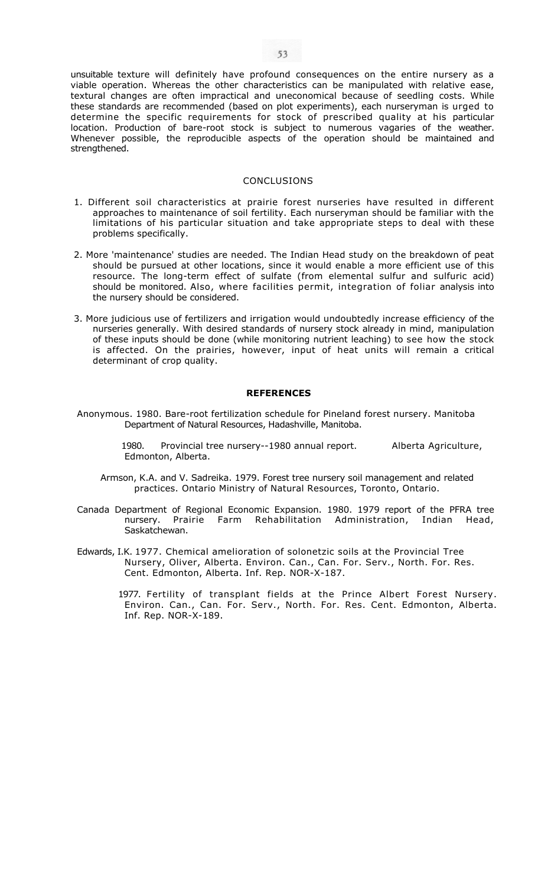unsuitable texture will definitely have profound consequences on the entire nursery as a viable operation. Whereas the other characteristics can be manipulated with relative ease, textural changes are often impractical and uneconomical because of seedling costs. While these standards are recommended (based on plot experiments), each nurseryman is urged to determine the specific requirements for stock of prescribed quality at his particular location. Production of bare-root stock is subject to numerous vagaries of the weather. Whenever possible, the reproducible aspects of the operation should be maintained and strengthened.

# CONCLUSIONS

- 1. Different soil characteristics at prairie forest nurseries have resulted in different approaches to maintenance of soil fertility. Each nurseryman should be familiar with the limitations of his particular situation and take appropriate steps to deal with these problems specifically.
- 2. More 'maintenance' studies are needed. The Indian Head study on the breakdown of peat should be pursued at other locations, since it would enable a more efficient use of this resource. The long-term effect of sulfate (from elemental sulfur and sulfuric acid) should be monitored. Also, where facilities permit, integration of foliar analysis into the nursery should be considered.
- 3. More judicious use of fertilizers and irrigation would undoubtedly increase efficiency of the nurseries generally. With desired standards of nursery stock already in mind, manipulation of these inputs should be done (while monitoring nutrient leaching) to see how the stock is affected. On the prairies, however, input of heat units will remain a critical determinant of crop quality.

#### **REFERENCES**

Anonymous. 1980. Bare-root fertilization schedule for Pineland forest nursery. Manitoba Department of Natural Resources, Hadashville, Manitoba.

> 1980. Provincial tree nursery--1980 annual report. Alberta Agriculture, Edmonton, Alberta.

- Armson, K.A. and V. Sadreika. 1979. Forest tree nursery soil management and related practices. Ontario Ministry of Natural Resources, Toronto, Ontario.
- Canada Department of Regional Economic Expansion. 1980. 1979 report of the PFRA tree nursery. Prairie Farm Rehabilitation Administration, Indian Head, Saskatchewan.
- Edwards, I.K. 1977. Chemical amelioration of solonetzic soils at the Provincial Tree Nursery, Oliver, Alberta. Environ. Can., Can. For. Serv., North. For. Res. Cent. Edmonton, Alberta. Inf. Rep. NOR-X-187.
	- 1977. Fertility of transplant fields at the Prince Albert Forest Nursery. Environ. Can., Can. For. Serv., North. For. Res. Cent. Edmonton, Alberta. Inf. Rep. NOR-X-189.